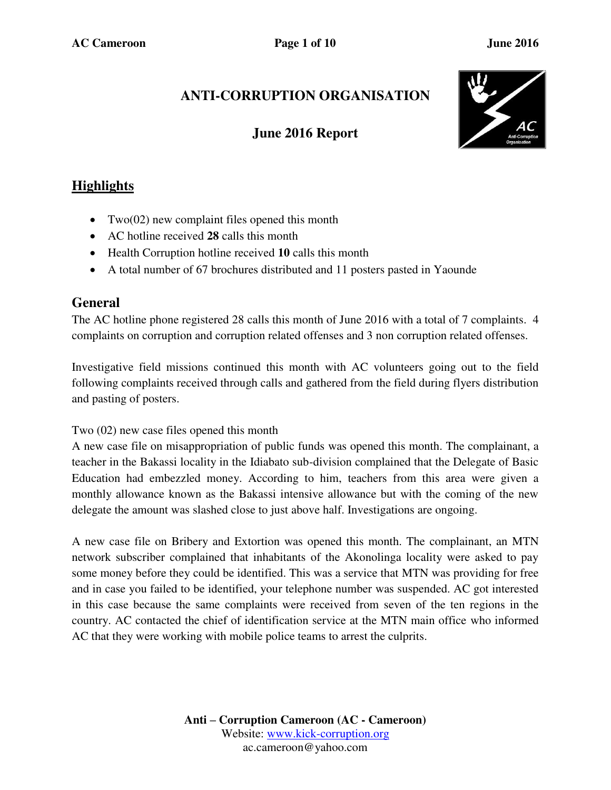# **ANTI-CORRUPTION ORGANISATION**

## **June 2016 Report**



## **Highlights**

- Two( $02$ ) new complaint files opened this month
- AC hotline received **28** calls this month
- Health Corruption hotline received **10** calls this month
- A total number of 67 brochures distributed and 11 posters pasted in Yaounde

### **General**

The AC hotline phone registered 28 calls this month of June 2016 with a total of 7 complaints. 4 complaints on corruption and corruption related offenses and 3 non corruption related offenses.

Investigative field missions continued this month with AC volunteers going out to the field following complaints received through calls and gathered from the field during flyers distribution and pasting of posters.

#### Two (02) new case files opened this month

A new case file on misappropriation of public funds was opened this month. The complainant, a teacher in the Bakassi locality in the Idiabato sub-division complained that the Delegate of Basic Education had embezzled money. According to him, teachers from this area were given a monthly allowance known as the Bakassi intensive allowance but with the coming of the new delegate the amount was slashed close to just above half. Investigations are ongoing.

A new case file on Bribery and Extortion was opened this month. The complainant, an MTN network subscriber complained that inhabitants of the Akonolinga locality were asked to pay some money before they could be identified. This was a service that MTN was providing for free and in case you failed to be identified, your telephone number was suspended. AC got interested in this case because the same complaints were received from seven of the ten regions in the country. AC contacted the chief of identification service at the MTN main office who informed AC that they were working with mobile police teams to arrest the culprits.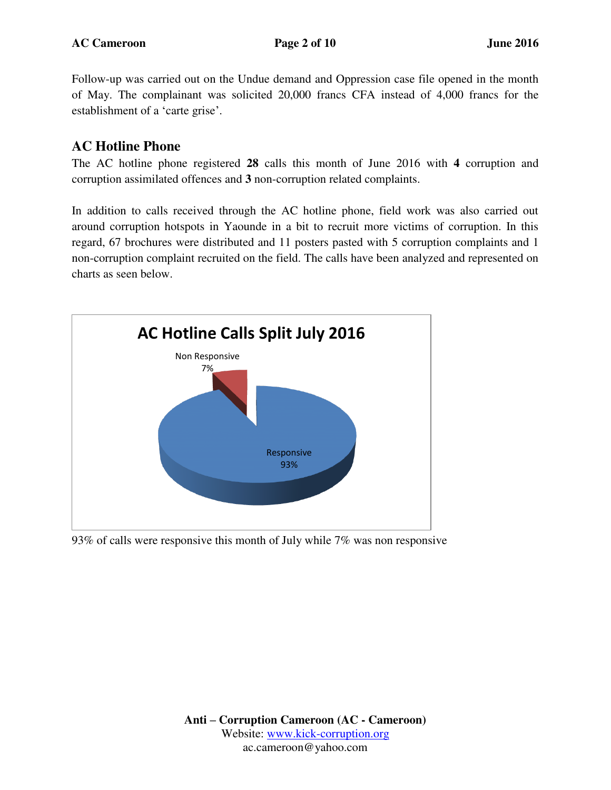Follow-up was carried out on the Undue demand and Oppression case file opened in the month of May. The complainant was solicited 20,000 francs CFA instead of 4,000 francs for the establishment of a 'carte grise'.

### **AC Hotline Phone**

The AC hotline phone registered **28** calls this month of June 2016 with **4** corruption and corruption assimilated offences and **3** non-corruption related complaints.

In addition to calls received through the AC hotline phone, field work was also carried out around corruption hotspots in Yaounde in a bit to recruit more victims of corruption. In this regard, 67 brochures were distributed and 11 posters pasted with 5 corruption complaints and 1 non-corruption complaint recruited on the field. The calls have been analyzed and represented on charts as seen below.



93% of calls were responsive this month of July while 7% was non responsive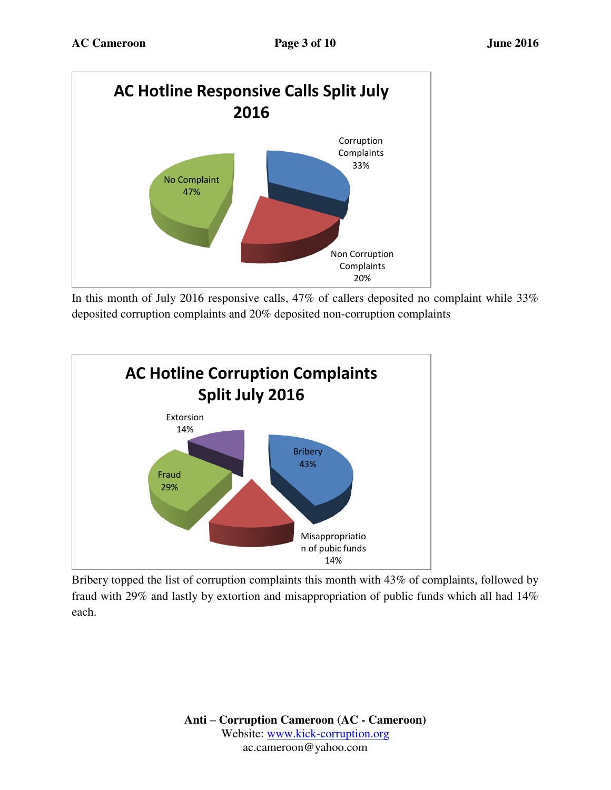

In this month of July 2016 responsive calls, 47% of callers deposited no complaint while 33% deposited corruption complaints and 20% deposited non-corruption complaints



Bribery topped the list of corruption complaints this month with 43% of complaints, followed by fraud with 29% and lastly by extortion and misappropriation of public funds which all had 14% each.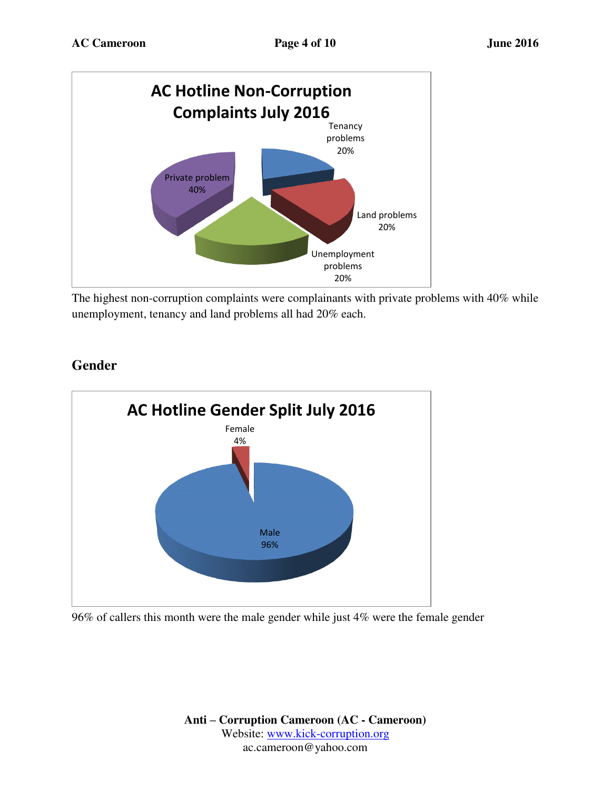

The highest non-corruption complaints were complainants with private problems with 40% while unemployment, tenancy and land problems all had 20% each.



## **Gender**

96% of callers this month were the male gender while just 4% were the female gender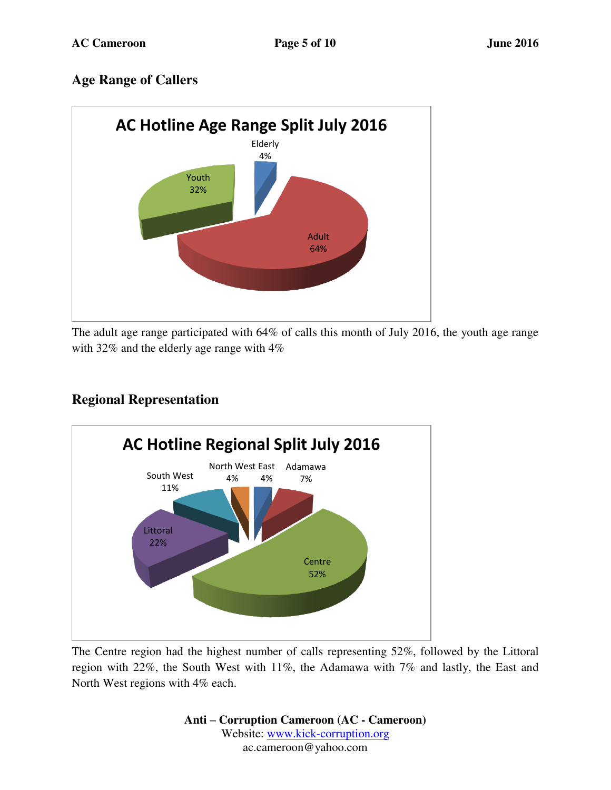## **Age Range of Callers**



The adult age range participated with 64% of calls this month of July 2016, the youth age range with 32% and the elderly age range with 4%



# **Regional Representation**

The Centre region had the highest number of calls representing 52%, followed by the Littoral region with 22%, the South West with 11%, the Adamawa with 7% and lastly, the East and North West regions with 4% each.

> **Anti – Corruption Cameroon (AC - Cameroon)** Website: [www.kick-corruption.org](http://www.kick-corruption.org/) ac.cameroon@yahoo.com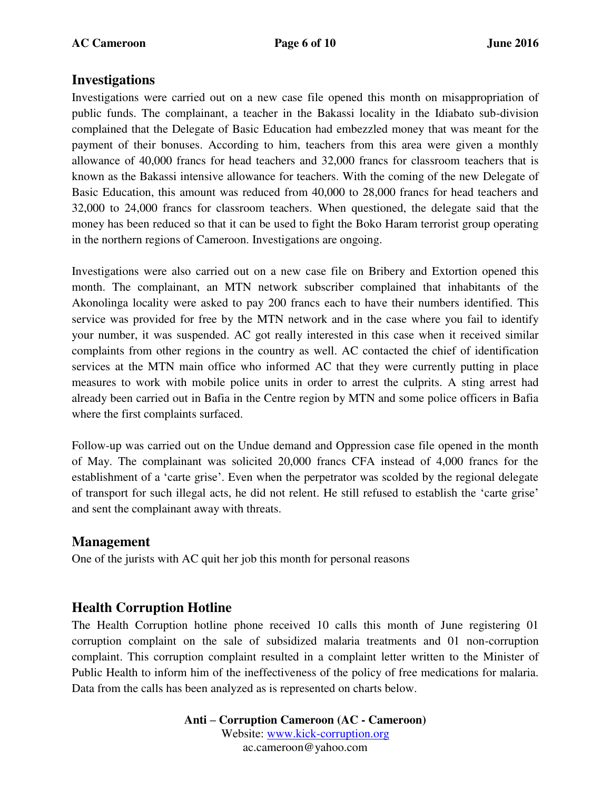#### **Investigations**

Investigations were carried out on a new case file opened this month on misappropriation of public funds. The complainant, a teacher in the Bakassi locality in the Idiabato sub-division complained that the Delegate of Basic Education had embezzled money that was meant for the payment of their bonuses. According to him, teachers from this area were given a monthly allowance of 40,000 francs for head teachers and 32,000 francs for classroom teachers that is known as the Bakassi intensive allowance for teachers. With the coming of the new Delegate of Basic Education, this amount was reduced from 40,000 to 28,000 francs for head teachers and 32,000 to 24,000 francs for classroom teachers. When questioned, the delegate said that the money has been reduced so that it can be used to fight the Boko Haram terrorist group operating in the northern regions of Cameroon. Investigations are ongoing.

Investigations were also carried out on a new case file on Bribery and Extortion opened this month. The complainant, an MTN network subscriber complained that inhabitants of the Akonolinga locality were asked to pay 200 francs each to have their numbers identified. This service was provided for free by the MTN network and in the case where you fail to identify your number, it was suspended. AC got really interested in this case when it received similar complaints from other regions in the country as well. AC contacted the chief of identification services at the MTN main office who informed AC that they were currently putting in place measures to work with mobile police units in order to arrest the culprits. A sting arrest had already been carried out in Bafia in the Centre region by MTN and some police officers in Bafia where the first complaints surfaced.

Follow-up was carried out on the Undue demand and Oppression case file opened in the month of May. The complainant was solicited 20,000 francs CFA instead of 4,000 francs for the establishment of a 'carte grise'. Even when the perpetrator was scolded by the regional delegate of transport for such illegal acts, he did not relent. He still refused to establish the 'carte grise' and sent the complainant away with threats.

#### **Management**

One of the jurists with AC quit her job this month for personal reasons

### **Health Corruption Hotline**

The Health Corruption hotline phone received 10 calls this month of June registering 01 corruption complaint on the sale of subsidized malaria treatments and 01 non-corruption complaint. This corruption complaint resulted in a complaint letter written to the Minister of Public Health to inform him of the ineffectiveness of the policy of free medications for malaria. Data from the calls has been analyzed as is represented on charts below.

> **Anti – Corruption Cameroon (AC - Cameroon)** Website: [www.kick-corruption.org](http://www.kick-corruption.org/) ac.cameroon@yahoo.com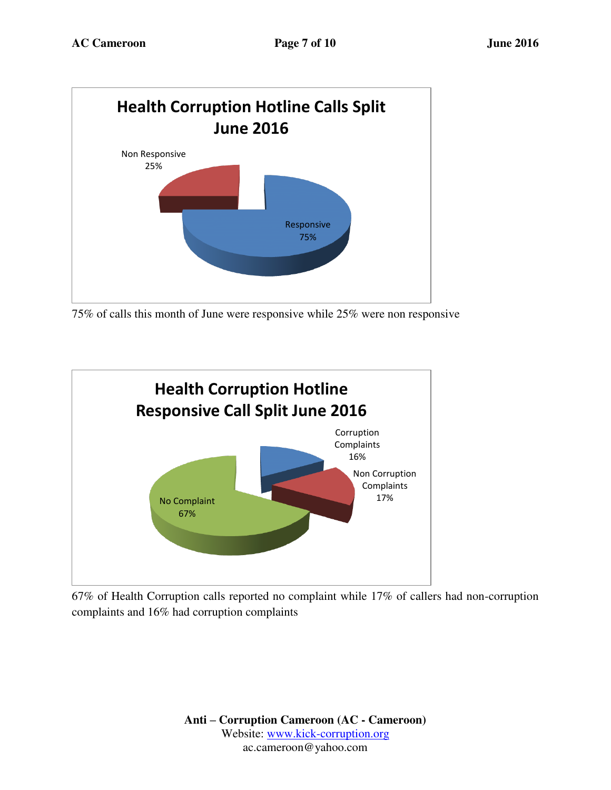

75% of calls this month of June were responsive while 25% were non responsive



67% of Health Corruption calls reported no complaint while 17% of callers had non-corruption complaints and 16% had corruption complaints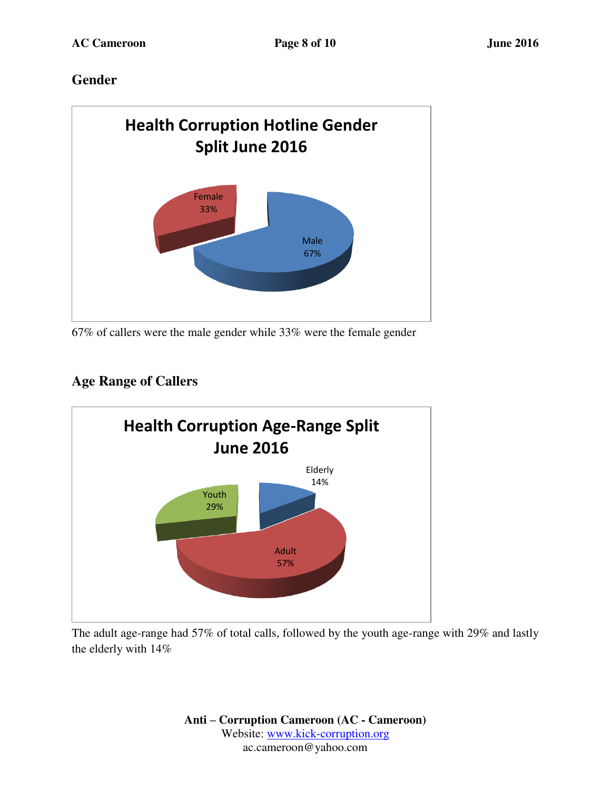## **Gender**



67% of callers were the male gender while 33% were the female gender

# **Age Range of Callers**



The adult age-range had 57% of total calls, followed by the youth age-range with 29% and lastly the elderly with 14%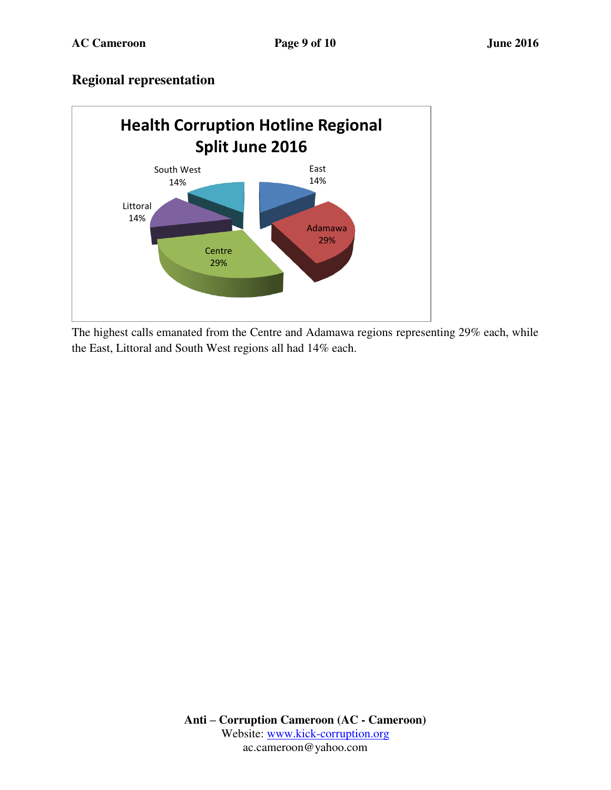### **Regional representation**



The highest calls emanated from the Centre and Adamawa regions representing 29% each, while the East, Littoral and South West regions all had 14% each.